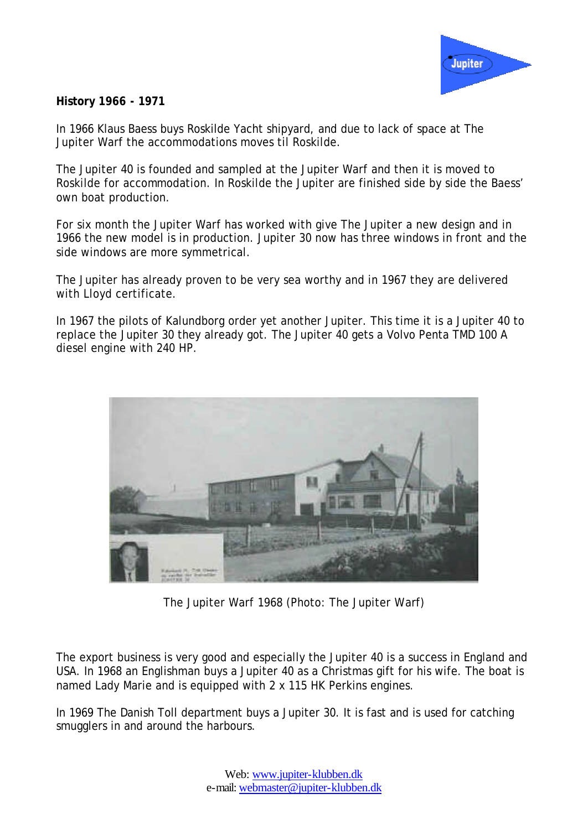

## **History 1966 - 1971**

In 1966 Klaus Baess buys Roskilde Yacht shipyard, and due to lack of space at The Jupiter Warf the accommodations moves til Roskilde.

The Jupiter 40 is founded and sampled at the Jupiter Warf and then it is moved to Roskilde for accommodation. In Roskilde the Jupiter are finished side by side the Baess' own boat production.

For six month the Jupiter Warf has worked with give The Jupiter a new design and in 1966 the new model is in production. Jupiter 30 now has three windows in front and the side windows are more symmetrical.

The Jupiter has already proven to be very sea worthy and in 1967 they are delivered with Lloyd certificate.

In 1967 the pilots of Kalundborg order yet another Jupiter. This time it is a Jupiter 40 to replace the Jupiter 30 they already got. The Jupiter 40 gets a Volvo Penta TMD 100 A diesel engine with 240 HP.



The Jupiter Warf 1968 (Photo: The Jupiter Warf)

The export business is very good and especially the Jupiter 40 is a success in England and USA. In 1968 an Englishman buys a Jupiter 40 as a Christmas gift for his wife. The boat is named Lady Marie and is equipped with 2 x 115 HK Perkins engines.

In 1969 The Danish Toll department buys a Jupiter 30. It is fast and is used for catching smugglers in and around the harbours.